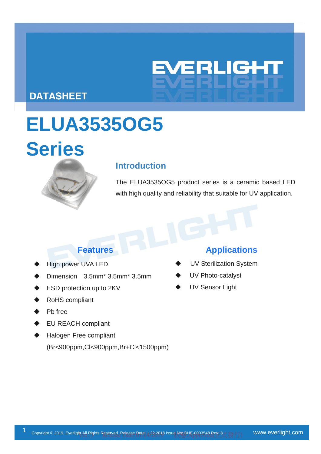

## **DATASHEET**

# **ELUA3535OG5**

# **Series**



## **Introduction**

The ELUA3535OG5 product series is a ceramic based LED with high quality and reliability that suitable for UV application.

- High power UVA LED
- Dimension 3.5mm\* 3.5mm\* 3.5mm
- ESD protection up to 2KV
- RoHS compliant
- Pb free
- EU REACH compliant
- Halogen Free compliant (Br<900ppm,Cl<900ppm,Br+Cl<1500ppm)

## **Features Applications**

- UV Sterilization System
- UV Photo-catalyst
- UV Sensor Light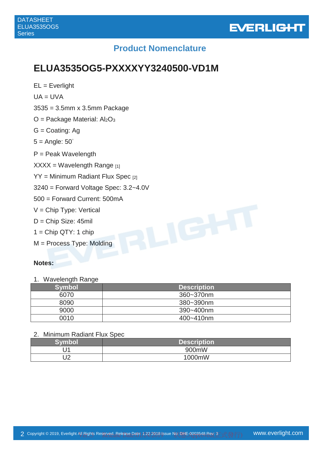

## **Product Nomenclature**

# **ELUA3535OG5-PXXXXYY3240500-VD1M**

 $EL = Everlight$  $UA = UVA$ 3535 = 3.5mm x 3.5mm Package  $O =$  Package Material: Al<sub>2</sub>O<sub>3</sub> G = Coating: Ag  $5 =$  Angle:  $50^\circ$ P = Peak Wavelength  $XXX = Wavelength Range_{[1]}$  $YY =$  Minimum Radiant Flux Spec  $_{[2]}$ 3240 = Forward Voltage Spec: 3.2~4.0V 500 = Forward Current: 500mA V = Chip Type: Vertical D = Chip Size: 45mil  $1 =$ Chip QTY: 1 chip M = Process Type: Molding

#### **Notes:**

1. Wavelength Range

| $\tilde{\phantom{a}}$<br>$\tilde{\phantom{a}}$<br><b>Symbol</b> | <b>Description</b> |
|-----------------------------------------------------------------|--------------------|
| 6070                                                            | 360~370nm          |
| 8090                                                            | 380~390nm          |
| 9000                                                            | 390~400nm          |
| 0010                                                            | 400~410nm          |

#### 2. Minimum Radiant Flux Spec

| Svmho           | <b>Description</b> |
|-----------------|--------------------|
| $\overline{14}$ | 900mW              |
| רו<br>◡▵        | 1000mW             |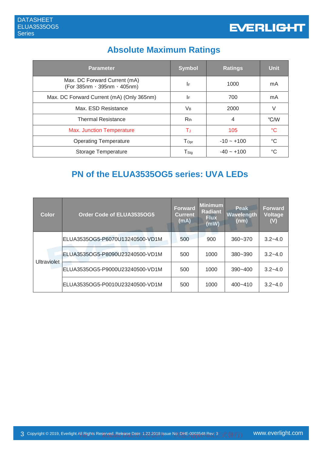# **Absolute Maximum Ratings**

| <b>Parameter</b>                                            | <b>Symbol</b>               | <b>Ratings</b> | <b>Unit</b>     |
|-------------------------------------------------------------|-----------------------------|----------------|-----------------|
| Max. DC Forward Current (mA)<br>(For 385nm · 395nm · 405nm) | IF                          | 1000           | mA              |
| Max. DC Forward Current (mA) (Only 365nm)                   | I۴                          | 700            | mA              |
| Max. ESD Resistance                                         | V <sub>B</sub>              | 2000           | V               |
| <b>Thermal Resistance</b>                                   | $R_{th}$                    | 4              | °C/W            |
| <b>Max. Junction Temperature</b>                            | Тı                          | 105            | $\rm ^{\circ}C$ |
| <b>Operating Temperature</b>                                | $\mathsf{T}_{\mathsf{Opt}}$ | $-10 - +100$   | $^{\circ}C$     |
| Storage Temperature                                         | $\mathsf{T}_{\mathsf{Stg}}$ | $-40 - +100$   | $^{\circ}C$     |

# **PN of the ELUA3535OG5 series: UVA LEDs**

| <b>Color</b>       | Order Code of ELUA3535OG5       | <b>Forward</b><br>Current<br>(mA) | <b>Minimum</b><br><b>Radiant</b><br><b>Flux</b><br>(mW) | Peak<br>Wavelength<br>(nm) | Forward<br><b>Voltage</b><br>(V) |
|--------------------|---------------------------------|-----------------------------------|---------------------------------------------------------|----------------------------|----------------------------------|
|                    | ELUA3535OG5-P6070U13240500-VD1M | 500                               | 900                                                     | $360 - 370$                | $3.2 - 4.0$                      |
| <b>Ultraviolet</b> | ELUA3535OG5-P8090U23240500-VD1M | 500                               | 1000                                                    | $380 - 390$                | $3.2 - 4.0$                      |
|                    | ELUA3535OG5-P9000U23240500-VD1M | 500                               | 1000                                                    | $390 - 400$                | $3.2 - 4.0$                      |
|                    | ELUA3535OG5-P0010U23240500-VD1M | 500                               | 1000                                                    | 400~410                    | $3.2 - 4.0$                      |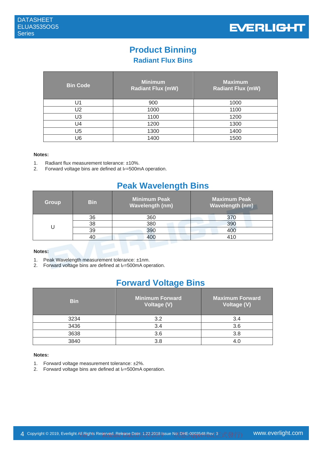

# **Product Binning**

**Radiant Flux Bins** 

| <b>Bin Code</b> | <b>Minimum</b><br><b>Radiant Flux (mW)</b> | <b>Maximum</b><br><b>Radiant Flux (mW)</b> |
|-----------------|--------------------------------------------|--------------------------------------------|
| 11 ،            | 900                                        | 1000                                       |
| U2              | 1000                                       | 1100                                       |
| U3              | 1100                                       | 1200                                       |
| U4              | 1200                                       | 1300                                       |
| U5              | 1300                                       | 1400                                       |
| J6              | 1400                                       | 1500                                       |

#### **Notes:**

- 1. Radiant flux measurement tolerance: ±10%.
- 2. Forward voltage bins are defined at I*F*=500mA operation.

## **Peak Wavelength Bins**

| <b>Group</b> | <b>Bin</b> | Minimum Peak<br><b>Wavelength (nm)</b> | Maximum Peak<br><b>Wavelength (nm)</b> |
|--------------|------------|----------------------------------------|----------------------------------------|
|              | 36         | 360                                    | 370                                    |
|              | 38         | 380                                    | 390                                    |
|              | 39         | 390                                    | 400                                    |
|              |            | 400                                    | 410                                    |

#### **Notes:**

1. Peak Wavelength measurement tolerance: ±1nm.

2. Forward voltage bins are defined at I<sub>F</sub>=500mA operation.

## **Forward Voltage Bins**

| <b>Bin</b> | Minimum Forward<br>Voltage (V) | <b>Maximum Forward</b><br><b>Voltage (V)</b> |
|------------|--------------------------------|----------------------------------------------|
| 3234       | 3.2                            | 3.4                                          |
| 3436       | 3.4                            | 3.6                                          |
| 3638       | 3.6                            | 3.8                                          |
| 3840       | 3 R                            |                                              |

#### **Notes:**

- 1. Forward voltage measurement tolerance: ±2%.
- 2. Forward voltage bins are defined at I<sub>F</sub>=500mA operation.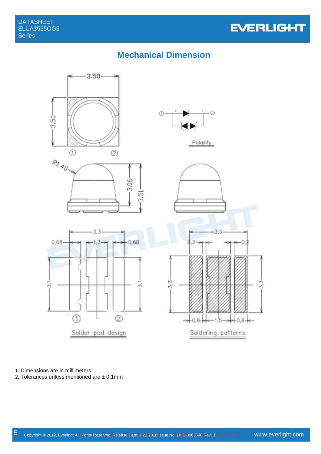

## **Mechanical Dimension**



**1.** Dimensions are in millimeters.

**2.** Tolerances unless mentioned are ± 0.1mm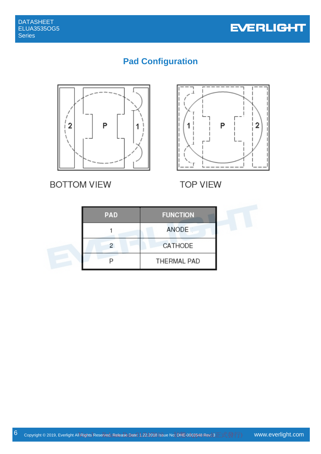

# **Pad Configuration**



**BOTTOM VIEW** 



**TOP VIEW** 

| <b>PAD</b> | <b>FUNCTION</b> |
|------------|-----------------|
|            | ANODE           |
|            | CATHODE         |
|            | THERMAL PAD     |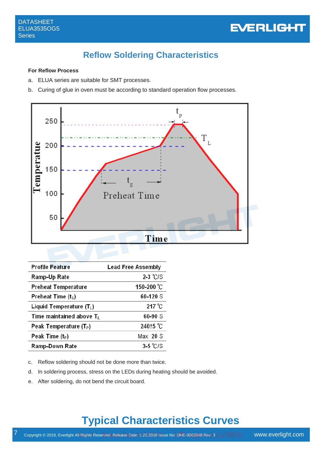

# **Reflow Soldering Characteristics**

#### **For Reflow Process**

- a. ELUA series are suitable for SMT processes.
- b. Curing of glue in oven must be according to standard operation flow processes.



| <b>Profile Feature</b>      | <b>Lead Free Assembly</b> |
|-----------------------------|---------------------------|
| Ramp-Up Rate                | $2-3$ °C/S                |
| <b>Preheat Temperature</b>  | 150-200 °C                |
| Preheat Time $(tS)$         | 60-120 S                  |
| Liquid Temperature $(T_L)$  | $217^{\circ}$ C           |
| Time maintained above $T_L$ | 60-90 S                   |
| Peak Temperature $(T_P)$    | 240 <sup>+5</sup> °C      |
| Peak Time $(t_P)$           | $Max$ 20 S                |
| <b>Ramp-Down Rate</b>       | $3-5$ °C/S                |

- c. Reflow soldering should not be done more than twice.
- d. In soldering process, stress on the LEDs during heating should be avoided.
- e. After soldering, do not bend the circuit board.

# **Typical Characteristics Curves**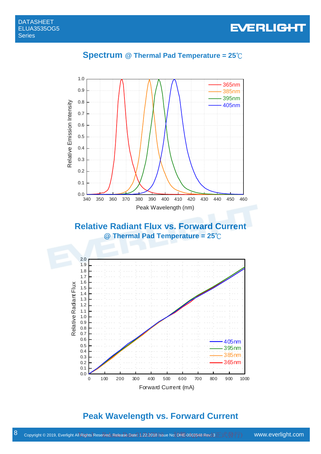

## **Spectrum @ Thermal Pad Temperature = 25**℃



## **Relative Radiant Flux vs. Forward Current @ Thermal Pad Temperature = 25**℃



## **Peak Wavelength vs. Forward Current**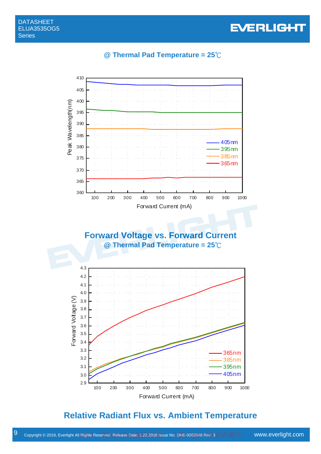## **@ Thermal Pad Temperature = 25**℃



# **Relative Radiant Flux vs. Ambient Temperature**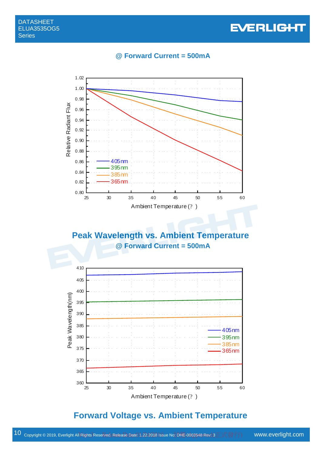# **EVERLIGHT**

#### **@ Forward Current = 500mA**



## **Peak Wavelength vs. Ambient Temperature @ Forward Current = 500mA**



## **Forward Voltage vs. Ambient Temperature**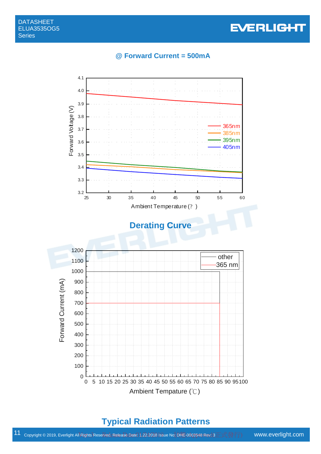

#### **@ Forward Current = 500mA**



## **Typical Radiation Patterns**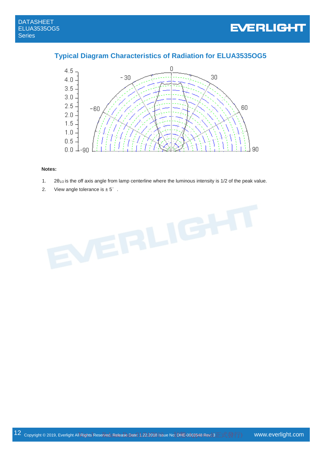#### **Typical Diagram Characteristics of Radiation for ELUA3535OG5**



#### **Notes:**

- 1.  $2\theta_{1/2}$  is the off axis angle from lamp centerline where the luminous intensity is 1/2 of the peak value.
- 2. View angle tolerance is  $\pm 5^\circ$ .

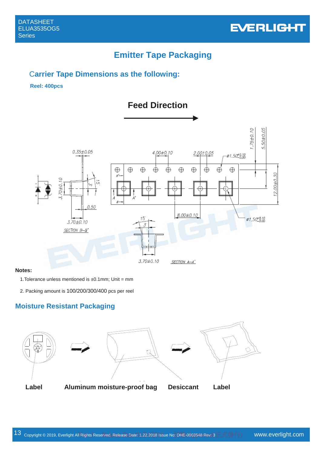

## **Emitter Tape Packaging**

#### C**arrier Tape Dimensions as the following:**

#### **Reel: 400pcs**



#### **Notes:**

1. Tolerance unless mentioned is  $\pm 0.1$ mm; Unit = mm

2. Packing amount is 100/200/300/400 pcs per reel

## **Moisture Resistant Packaging**

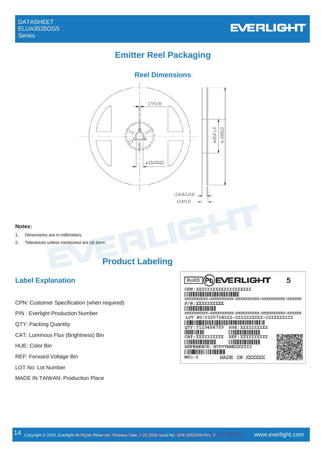

## **Emitter Reel Packaging**

## **Reel Dimensions**



#### **Notes:**

- 1. Dimensions are in millimeters.
- 2. Tolerances unless mentioned are ±0.1mm.

## **Product Labeling**

## **Label Explanation**

- CPN: Customer Specification (when required)
- P/N : Everlight Production Number
- QTY: Packing Quantity
- CAT: Luminous Flux (Brightness) Bin
- HUE: Color Bin
- REF: Forward Voltage Bin
- LOT No: Lot Number
- MADE IN TAIWAN: Production Place

| RoHS                                                  | <b>(Pb)EVERLIGHT</b>                                                                                                                                     | 5 |
|-------------------------------------------------------|----------------------------------------------------------------------------------------------------------------------------------------------------------|---|
|                                                       | CPN : XXXXXXXXXXXXXXXXXXX                                                                                                                                |   |
| P/N: XXXXXXXXXX                                       |                                                                                                                                                          |   |
|                                                       | LOT NO:Y150716XXX-XXXXXXXXXX-XXXXXXXXXX                                                                                                                  |   |
|                                                       | <u> A BANDARIA DE ANTIGA DE ANTIGA DE ANTIGA DE ANTIGA DE ANTIGA DE ANTIGA DE ANTIGA DE ANTIGA DE ANTIGA DE ANTIG</u><br>OTY: 0123456789 HUE: XXXXXXXXXX |   |
| <b>IN THE REAL PROPERTY AND IN</b><br>CAT: XXXXXXXXXX | REF : XXXXXXXXXX                                                                                                                                         |   |
|                                                       | <u> HENRI HENRI HENRI HENRI HENRI HENR</u><br>REFERENCE: BTPYYMMDDXXXXX                                                                                  |   |
| $MSL-X$                                               | MADE<br>IN.                                                                                                                                              |   |